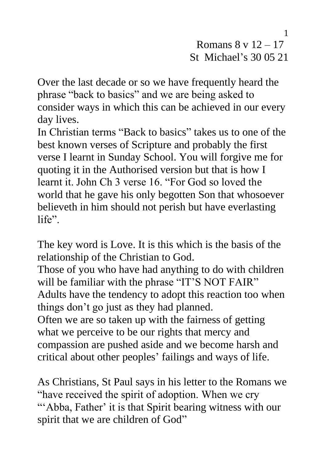Romans  $8 \text{ v } 12 - 17$ St Michael's 30 05 21

Over the last decade or so we have frequently heard the phrase "back to basics" and we are being asked to consider ways in which this can be achieved in our every day lives.

In Christian terms "Back to basics" takes us to one of the best known verses of Scripture and probably the first verse I learnt in Sunday School. You will forgive me for quoting it in the Authorised version but that is how I learnt it. John Ch 3 verse 16. "For God so loved the world that he gave his only begotten Son that whosoever believeth in him should not perish but have everlasting life".

The key word is Love. It is this which is the basis of the relationship of the Christian to God.

Those of you who have had anything to do with children will be familiar with the phrase "IT'S NOT FAIR" Adults have the tendency to adopt this reaction too when things don't go just as they had planned.

Often we are so taken up with the fairness of getting what we perceive to be our rights that mercy and compassion are pushed aside and we become harsh and critical about other peoples' failings and ways of life.

As Christians, St Paul says in his letter to the Romans we "have received the spirit of adoption. When we cry "'Abba, Father' it is that Spirit bearing witness with our spirit that we are children of God"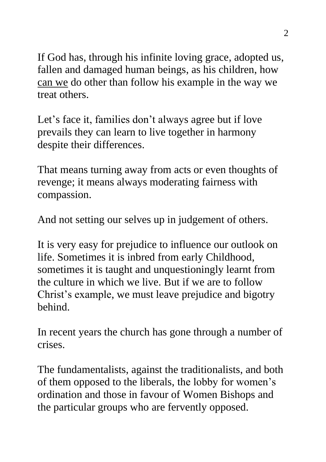If God has, through his infinite loving grace, adopted us, fallen and damaged human beings, as his children, how can we do other than follow his example in the way we treat others.

Let's face it, families don't always agree but if love prevails they can learn to live together in harmony despite their differences.

That means turning away from acts or even thoughts of revenge; it means always moderating fairness with compassion.

And not setting our selves up in judgement of others.

It is very easy for prejudice to influence our outlook on life. Sometimes it is inbred from early Childhood, sometimes it is taught and unquestioningly learnt from the culture in which we live. But if we are to follow Christ's example, we must leave prejudice and bigotry behind.

In recent years the church has gone through a number of crises.

The fundamentalists, against the traditionalists, and both of them opposed to the liberals, the lobby for women's ordination and those in favour of Women Bishops and the particular groups who are fervently opposed.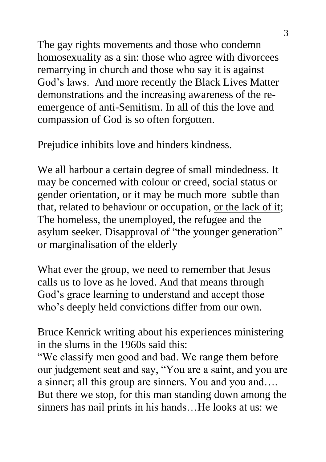The gay rights movements and those who condemn homosexuality as a sin: those who agree with divorcees remarrying in church and those who say it is against God's laws. And more recently the Black Lives Matter demonstrations and the increasing awareness of the reemergence of anti-Semitism. In all of this the love and compassion of God is so often forgotten.

Prejudice inhibits love and hinders kindness.

We all harbour a certain degree of small mindedness. It may be concerned with colour or creed, social status or gender orientation, or it may be much more subtle than that, related to behaviour or occupation, or the lack of it; The homeless, the unemployed, the refugee and the asylum seeker. Disapproval of "the younger generation" or marginalisation of the elderly

What ever the group, we need to remember that Jesus calls us to love as he loved. And that means through God's grace learning to understand and accept those who's deeply held convictions differ from our own.

Bruce Kenrick writing about his experiences ministering in the slums in the 1960s said this:

"We classify men good and bad. We range them before our judgement seat and say, "You are a saint, and you are a sinner; all this group are sinners. You and you and…. But there we stop, for this man standing down among the sinners has nail prints in his hands…He looks at us: we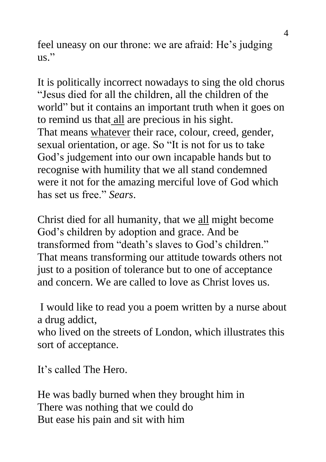feel uneasy on our throne: we are afraid: He's judging  $_{\rm 11S}$  "

It is politically incorrect nowadays to sing the old chorus "Jesus died for all the children, all the children of the world" but it contains an important truth when it goes on to remind us that all are precious in his sight. That means whatever their race, colour, creed, gender, sexual orientation, or age. So "It is not for us to take God's judgement into our own incapable hands but to recognise with humility that we all stand condemned were it not for the amazing merciful love of God which has set us free." *Sears*.

Christ died for all humanity, that we all might become God's children by adoption and grace. And be transformed from "death's slaves to God's children." That means transforming our attitude towards others not just to a position of tolerance but to one of acceptance and concern. We are called to love as Christ loves us.

I would like to read you a poem written by a nurse about a drug addict,

who lived on the streets of London, which illustrates this sort of acceptance.

It's called The Hero.

He was badly burned when they brought him in There was nothing that we could do But ease his pain and sit with him